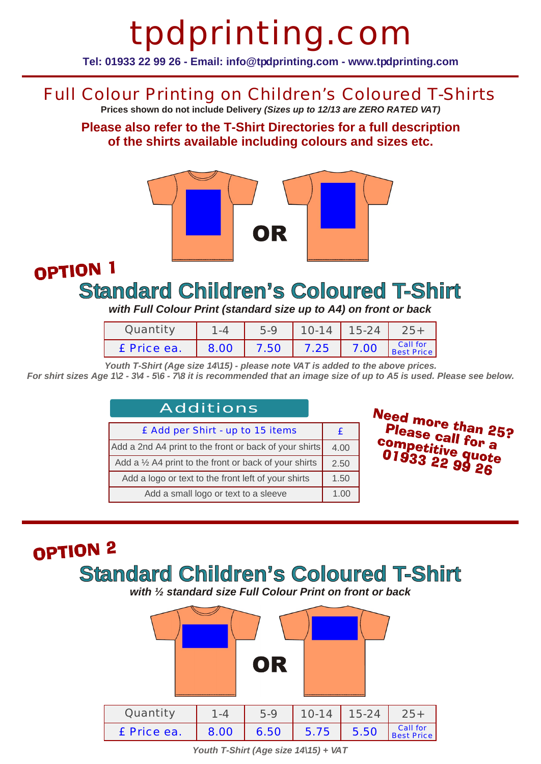# tpdprinting.com

**Tel: 01933 22 99 26 - Email: info@tpdprinting.com - www.tpdprinting.com**

#### Full Colour Printing on Children's Coloured T-Shirts

**Prices shown do not include Delivery** *(Sizes up to 12/13 are ZERO RATED VAT)*

**Please also refer to the T-Shirt Directories for a full description of the shirts available including colours and sizes etc.**



#### OPTION 1 **Standard Children's Coloured T-Shirt**

*with Full Colour Print (standard size up to A4) on front or back*

| Quantity    |      | $5-9$ | $10-14$ 15-24 |      |                        |
|-------------|------|-------|---------------|------|------------------------|
| £ Price ea. | 8.00 |       | $7.50$ 7.25   | 7.00 | Call for<br>Best Price |

*Youth T-Shirt (Age size 14\15) - please note VAT is added to the above prices. For shirt sizes Age 1\2 - 3\4 - 5\6 - 7\8 it is recommended that an image size of up to A5 is used. Please see below.*

| Additions                                                        |  |  |
|------------------------------------------------------------------|--|--|
| £ Add per Shirt - up to 15 items                                 |  |  |
| Add a 2nd A4 print to the front or back of your shirts           |  |  |
| Add a $\frac{1}{2}$ A4 print to the front or back of your shirts |  |  |
| Add a logo or text to the front left of your shirts              |  |  |
| Add a small logo or text to a sleeve                             |  |  |

Need more than 25?<br>Please call for 25? Please call for a ease call for a<br>competitive quote<br>01933 22 99 26

## OPTION<sub>2</sub> **Standard Children's Coloured T-Shirt**

*with ½ standard size Full Colour Print on front or back*



*Youth T-Shirt (Age size 14\15) + VAT*